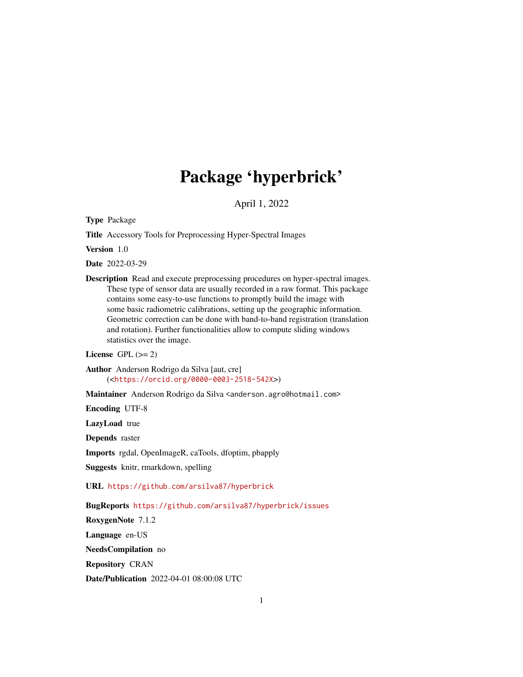## Package 'hyperbrick'

April 1, 2022

<span id="page-0-0"></span>Type Package

Title Accessory Tools for Preprocessing Hyper-Spectral Images

Version 1.0

Date 2022-03-29

Description Read and execute preprocessing procedures on hyper-spectral images. These type of sensor data are usually recorded in a raw format. This package contains some easy-to-use functions to promptly build the image with some basic radiometric calibrations, setting up the geographic information. Geometric correction can be done with band-to-band registration (translation and rotation). Further functionalities allow to compute sliding windows statistics over the image.

License GPL  $(>= 2)$ 

Author Anderson Rodrigo da Silva [aut, cre] (<<https://orcid.org/0000-0003-2518-542X>>)

Maintainer Anderson Rodrigo da Silva <anderson.agro@hotmail.com>

Encoding UTF-8

LazyLoad true

Depends raster

Imports rgdal, OpenImageR, caTools, dfoptim, pbapply

Suggests knitr, rmarkdown, spelling

URL <https://github.com/arsilva87/hyperbrick>

BugReports <https://github.com/arsilva87/hyperbrick/issues>

RoxygenNote 7.1.2

Language en-US

NeedsCompilation no

Repository CRAN

Date/Publication 2022-04-01 08:00:08 UTC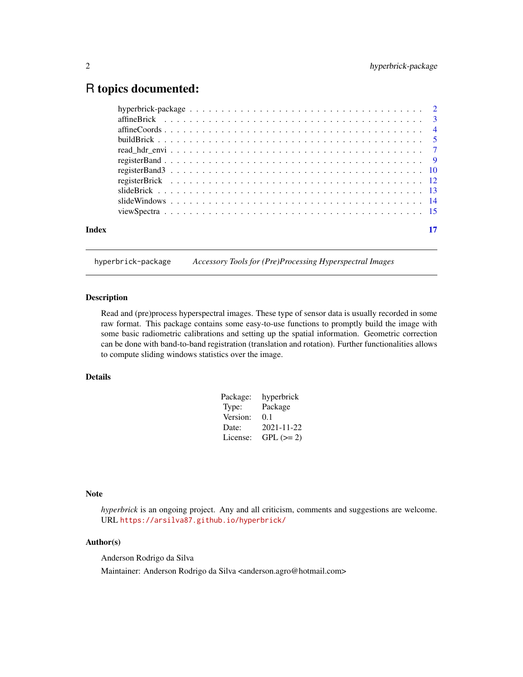## <span id="page-1-0"></span>R topics documented:

| Index |  |
|-------|--|
|       |  |

hyperbrick-package *Accessory Tools for (Pre)Processing Hyperspectral Images*

## Description

Read and (pre)process hyperspectral images. These type of sensor data is usually recorded in some raw format. This package contains some easy-to-use functions to promptly build the image with some basic radiometric calibrations and setting up the spatial information. Geometric correction can be done with band-to-band registration (translation and rotation). Further functionalities allows to compute sliding windows statistics over the image.

## Details

| hyperbrick |
|------------|
| Package    |
| 0.1        |
| 2021-11-22 |
| $GPL (=2)$ |
|            |

## Note

*hyperbrick* is an ongoing project. Any and all criticism, comments and suggestions are welcome. URL <https://arsilva87.github.io/hyperbrick/>

## Author(s)

Anderson Rodrigo da Silva Maintainer: Anderson Rodrigo da Silva <anderson.agro@hotmail.com>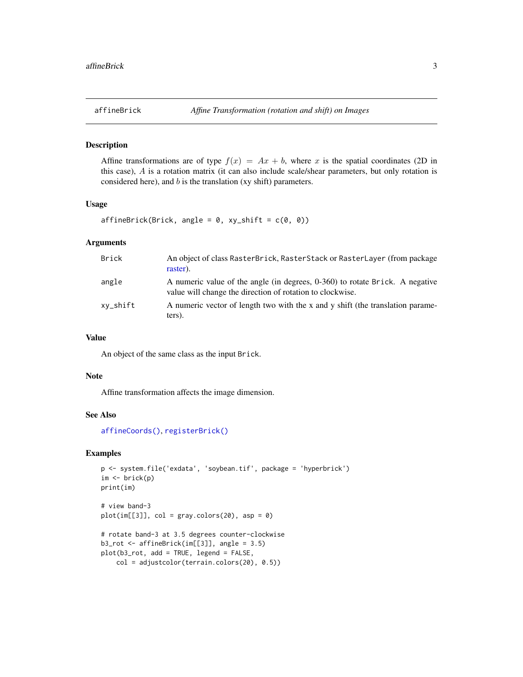## <span id="page-2-1"></span><span id="page-2-0"></span>Description

Affine transformations are of type  $f(x) = Ax + b$ , where x is the spatial coordinates (2D in this case), A is a rotation matrix (it can also include scale/shear parameters, but only rotation is considered here), and  $b$  is the translation (xy shift) parameters.

#### Usage

 $affineBrick(Brick, angle = 0, xy_shift = c(0, 0))$ 

## Arguments

| Brick    | An object of class RasterBrick, RasterStack or RasterLayer (from package<br>raster).                                                      |
|----------|-------------------------------------------------------------------------------------------------------------------------------------------|
| angle    | A numeric value of the angle (in degrees, 0-360) to rotate Brick. A negative<br>value will change the direction of rotation to clockwise. |
| xy_shift | A numeric vector of length two with the x and y shift (the translation parame-<br>ters).                                                  |

## Value

An object of the same class as the input Brick.

#### Note

Affine transformation affects the image dimension.

## See Also

[affineCoords\(\)](#page-3-1), [registerBrick\(\)](#page-11-1)

```
p <- system.file('exdata', 'soybean.tif', package = 'hyperbrick')
im \leftarrow brick(p)print(im)
# view band-3
plot(im[[3]], col = gray.colors(20), asp = 0)
# rotate band-3 at 3.5 degrees counter-clockwise
b3_rot <- affineBrick(im[[3]], angle = 3.5)
plot(b3_rot, add = TRUE, legend = FALSE,
   col = adjustcolor(terrain.colors(20), 0.5))
```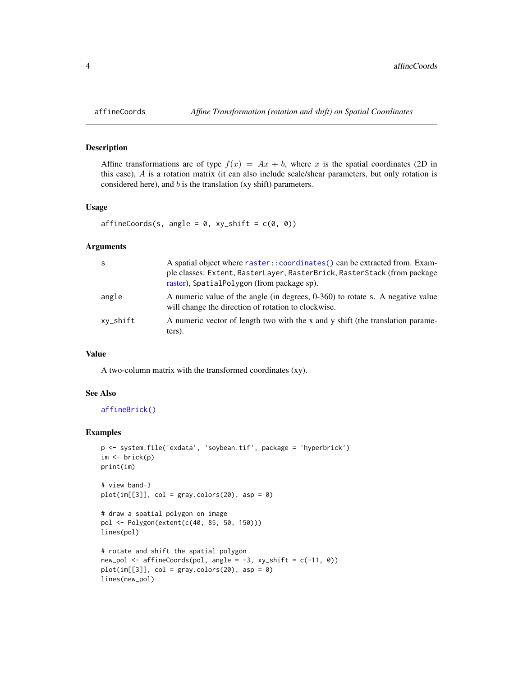#### Description

Affine transformations are of type  $f(x) = Ax + b$ , where x is the spatial coordinates (2D in this case), A is a rotation matrix (it can also include scale/shear parameters, but only rotation is considered here), and  $b$  is the translation (xy shift) parameters.

## Usage

```
affineCoordinates(s, angle = 0, xy_shift = c(0, 0))
```
#### Arguments

| <sub>S</sub> | A spatial object where raster::coordinates() can be extracted from. Exam-<br>ple classes: Extent, RasterLayer, RasterBrick, RasterStack (from package<br>raster), SpatialPolygon (from package sp). |
|--------------|-----------------------------------------------------------------------------------------------------------------------------------------------------------------------------------------------------|
| angle        | A numeric value of the angle (in degrees, 0-360) to rotate s. A negative value<br>will change the direction of rotation to clockwise.                                                               |
| xy_shift     | A numeric vector of length two with the x and y shift (the translation parame-<br>ters).                                                                                                            |

#### Value

A two-column matrix with the transformed coordinates (xy).

#### See Also

[affineBrick\(\)](#page-2-1)

```
p <- system.file('exdata', 'soybean.tif', package = 'hyperbrick')
im <- brick(p)
print(im)
# view band-3
plot(im[[3]], col = gray-color(20), asp = 0)# draw a spatial polygon on image
pol <- Polygon(extent(c(40, 85, 50, 150)))
lines(pol)
# rotate and shift the spatial polygon
new\_pol \leq -affineCoordinates(pol, angle = -3, xy\_shift = c(-11, 0))plot(im[[3]], col = gray-color(20), asp = 0)lines(new_pol)
```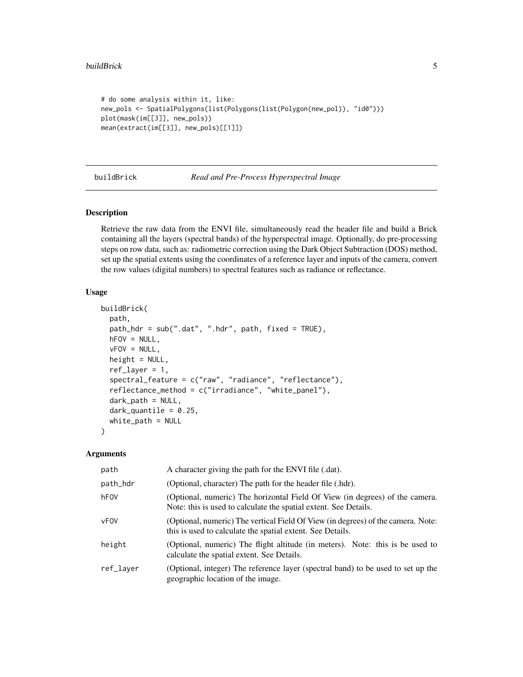```
# do some analysis within it, like:
new_pols <- SpatialPolygons(list(Polygons(list(Polygon(new_pol)), "id0")))
plot(mask(im[[3]], new_pols))
mean(extract(im[[3]], new_pols)[[1]])
```
<span id="page-4-1"></span>

buildBrick *Read and Pre-Process Hyperspectral Image*

## Description

Retrieve the raw data from the ENVI file, simultaneously read the header file and build a Brick containing all the layers (spectral bands) of the hyperspectral image. Optionally, do pre-processing steps on row data, such as: radiometric correction using the Dark Object Subtraction (DOS) method, set up the spatial extents using the coordinates of a reference layer and inputs of the camera, convert the row values (digital numbers) to spectral features such as radiance or reflectance.

#### Usage

```
buildBrick(
  path,
  path_hdr = sub(".dat", ".hdr", path, fixed = TRUE),
  hFOV = NULL,vFOV = NULL,height = NULL,ref\_layer = 1,
  spectral_feature = c("raw", "radiance", "reflectance"),
  reflectance_method = c("irradiance", "white_panel"),
  dark_path = NULL,
  dark_quantile = 0.25,
  white_path = NULL
)
```
#### Arguments

| path      | A character giving the path for the ENVI file (.dat).                                                                                            |
|-----------|--------------------------------------------------------------------------------------------------------------------------------------------------|
| path_hdr  | (Optional, character) The path for the header file (.hdr).                                                                                       |
| hFOV      | (Optional, numeric) The horizontal Field Of View (in degrees) of the camera.<br>Note: this is used to calculate the spatial extent. See Details. |
| vFOV      | (Optional, numeric) The vertical Field Of View (in degrees) of the camera. Note:<br>this is used to calculate the spatial extent. See Details.   |
| height    | (Optional, numeric) The flight altitude (in meters). Note: this is be used to<br>calculate the spatial extent. See Details.                      |
| ref_layer | (Optional, integer) The reference layer (spectral band) to be used to set up the<br>geographic location of the image.                            |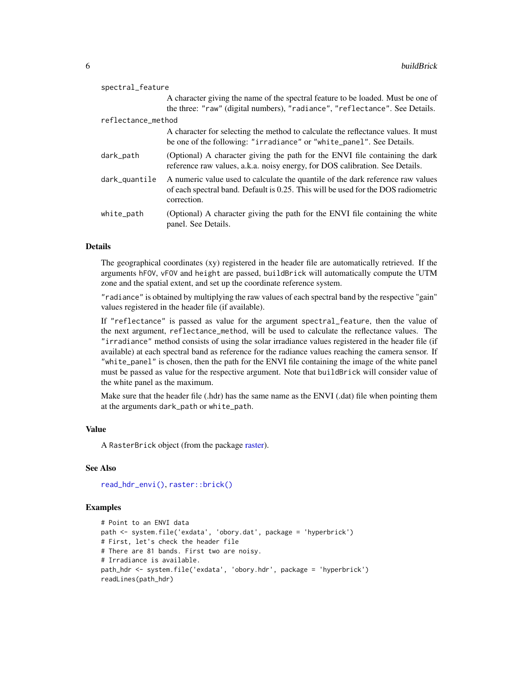<span id="page-5-0"></span>

| spectral_feature   |                                                                                                                                                                                     |  |
|--------------------|-------------------------------------------------------------------------------------------------------------------------------------------------------------------------------------|--|
|                    | A character giving the name of the spectral feature to be loaded. Must be one of                                                                                                    |  |
|                    | the three: "raw" (digital numbers), "radiance", "reflectance". See Details.                                                                                                         |  |
| reflectance method |                                                                                                                                                                                     |  |
|                    | A character for selecting the method to calculate the reflectance values. It must<br>be one of the following: "irradiance" or "white_panel". See Details.                           |  |
| dark_path          | (Optional) A character giving the path for the ENVI file containing the dark<br>reference raw values, a.k.a. noisy energy, for DOS calibration. See Details.                        |  |
| dark_quantile      | A numeric value used to calculate the quantile of the dark reference raw values<br>of each spectral band. Default is 0.25. This will be used for the DOS radiometric<br>correction. |  |
| white_path         | (Optional) A character giving the path for the ENVI file containing the white<br>panel. See Details.                                                                                |  |

## **Details**

The geographical coordinates (xy) registered in the header file are automatically retrieved. If the arguments hFOV, vFOV and height are passed, buildBrick will automatically compute the UTM zone and the spatial extent, and set up the coordinate reference system.

"radiance" is obtained by multiplying the raw values of each spectral band by the respective "gain" values registered in the header file (if available).

If "reflectance" is passed as value for the argument spectral\_feature, then the value of the next argument, reflectance\_method, will be used to calculate the reflectance values. The "irradiance" method consists of using the solar irradiance values registered in the header file (if available) at each spectral band as reference for the radiance values reaching the camera sensor. If "white\_panel" is chosen, then the path for the ENVI file containing the image of the white panel must be passed as value for the respective argument. Note that buildBrick will consider value of the white panel as the maximum.

Make sure that the header file (.hdr) has the same name as the ENVI (.dat) file when pointing them at the arguments dark\_path or white\_path.

#### Value

A RasterBrick object (from the package [raster\)](#page-0-0).

## See Also

[read\\_hdr\\_envi\(\)](#page-6-1), [raster::brick\(\)](#page-0-0)

```
# Point to an ENVI data
path <- system.file('exdata', 'obory.dat', package = 'hyperbrick')
# First, let's check the header file
# There are 81 bands. First two are noisy.
# Irradiance is available.
path_hdr <- system.file('exdata', 'obory.hdr', package = 'hyperbrick')
readLines(path_hdr)
```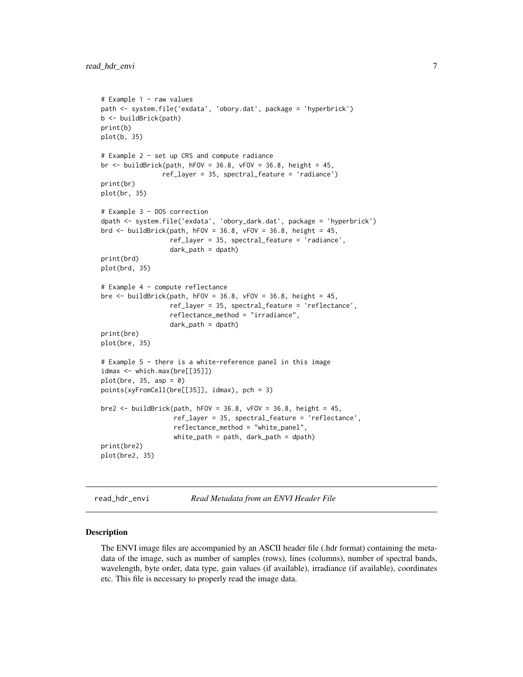```
# Example 1 - raw values
path <- system.file('exdata', 'obory.dat', package = 'hyperbrick')
b <- buildBrick(path)
print(b)
plot(b, 35)
# Example 2 - set up CRS and compute radiance
br \le buildBrick(path, hFOV = 36.8, vFOV = 36.8, height = 45,
                ref_layer = 35, spectral_feature = 'radiance')
print(br)
plot(br, 35)
# Example 3 - DOS correction
dpath <- system.file('exdata', 'obory_dark.dat', package = 'hyperbrick')
brd \le buildBrick(path, hFOV = 36.8, vFOV = 36.8, height = 45,
                  ref_layer = 35, spectral_feature = 'radiance',
                  dark_path = dpath)
print(brd)
plot(brd, 35)
# Example 4 - compute reflectance
bre <- buildBrick(path, hFOV = 36.8, vFOV = 36.8, height = 45,
                  ref_layer = 35, spectral_feature = 'reflectance',
                  reflectance_method = "irradiance",
                  dark_path = dpath)
print(bre)
plot(bre, 35)
# Example 5 - there is a white-reference panel in this image
idmax <- which.max(bre[[35]])
plot(bre, 35, asp = 0)points(xyFromCell(bre[[35]], idmax), pch = 3)
bre2 \le buildBrick(path, hFOV = 36.8, vFOV = 36.8, height = 45,
                   ref_layer = 35, spectral_feature = 'reflectance',
                   reflectance_method = "white_panel",
                   white_path = path, dark_path = dpath)
print(bre2)
plot(bre2, 35)
```
<span id="page-6-1"></span>read\_hdr\_envi *Read Metadata from an ENVI Header File*

#### Description

The ENVI image files are accompanied by an ASCII header file (.hdr format) containing the metadata of the image, such as number of samples (rows), lines (columns), number of spectral bands, wavelength, byte order, data type, gain values (if available), irradiance (if available), coordinates etc. This file is necessary to properly read the image data.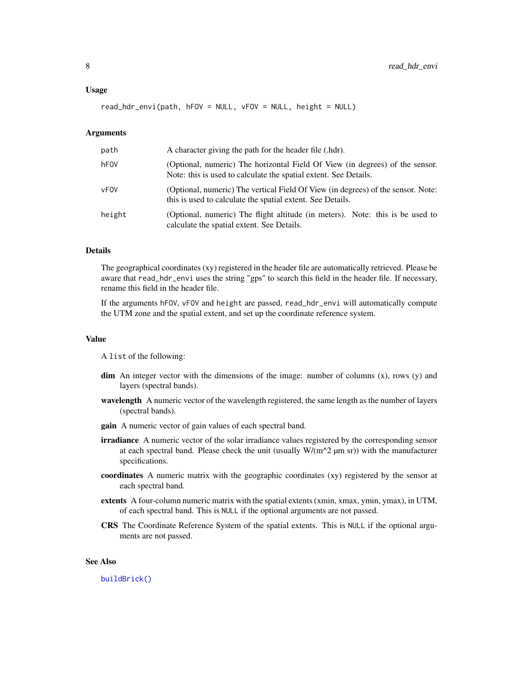<span id="page-7-0"></span>read\_hdr\_envi(path, hFOV = NULL, vFOV = NULL, height = NULL)

#### Arguments

| path   | A character giving the path for the header file (.hdr).                                                                                          |
|--------|--------------------------------------------------------------------------------------------------------------------------------------------------|
| hFOV   | (Optional, numeric) The horizontal Field Of View (in degrees) of the sensor.<br>Note: this is used to calculate the spatial extent. See Details. |
| vFOV   | (Optional, numeric) The vertical Field Of View (in degrees) of the sensor. Note:<br>this is used to calculate the spatial extent. See Details.   |
| height | (Optional, numeric) The flight altitude (in meters). Note: this is be used to<br>calculate the spatial extent. See Details.                      |

## Details

The geographical coordinates (xy) registered in the header file are automatically retrieved. Please be aware that read\_hdr\_envi uses the string "gps" to search this field in the header file. If necessary, rename this field in the header file.

If the arguments hFOV, vFOV and height are passed, read\_hdr\_envi will automatically compute the UTM zone and the spatial extent, and set up the coordinate reference system.

## Value

A list of the following:

- $\dim$  An integer vector with the dimensions of the image: number of columns  $(x)$ , rows  $(y)$  and layers (spectral bands).
- wavelength A numeric vector of the wavelength registered, the same length as the number of layers (spectral bands).
- gain A numeric vector of gain values of each spectral band.
- **irradiance** A numeric vector of the solar irradiance values registered by the corresponding sensor at each spectral band. Please check the unit (usually  $W/(m^2 \mu m \text{ sr}))$  with the manufacturer specifications.
- coordinates A numeric matrix with the geographic coordinates (xy) registered by the sensor at each spectral band.
- extents A four-column numeric matrix with the spatial extents (xmin, xmax, ymin, ymax), in UTM, of each spectral band. This is NULL if the optional arguments are not passed.
- CRS The Coordinate Reference System of the spatial extents. This is NULL if the optional arguments are not passed.

#### See Also

[buildBrick\(\)](#page-4-1)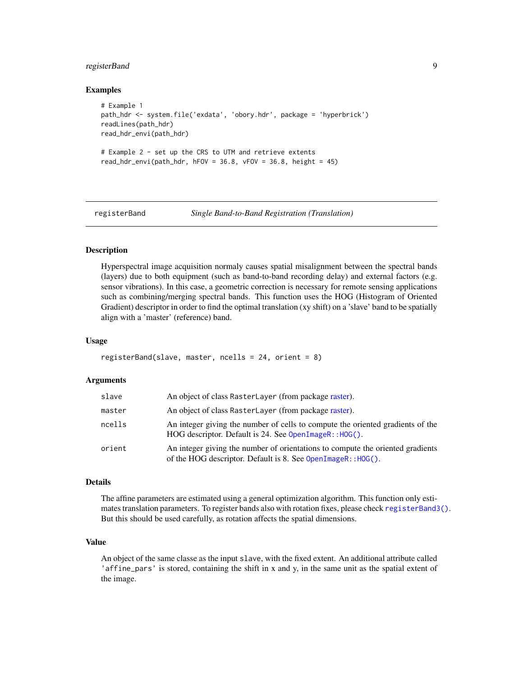## <span id="page-8-0"></span>registerBand 9

### Examples

```
# Example 1
path_hdr <- system.file('exdata', 'obory.hdr', package = 'hyperbrick')
readLines(path_hdr)
read_hdr_envi(path_hdr)
# Example 2 - set up the CRS to UTM and retrieve extents
read\_hdr\_envi(path\_hdr, hFOV = 36.8, vFOV = 36.8, height = 45)
```
<span id="page-8-1"></span>

registerBand *Single Band-to-Band Registration (Translation)*

## Description

Hyperspectral image acquisition normaly causes spatial misalignment between the spectral bands (layers) due to both equipment (such as band-to-band recording delay) and external factors (e.g. sensor vibrations). In this case, a geometric correction is necessary for remote sensing applications such as combining/merging spectral bands. This function uses the HOG (Histogram of Oriented Gradient) descriptor in order to find the optimal translation (xy shift) on a 'slave' band to be spatially align with a 'master' (reference) band.

#### Usage

```
registerBand(slave, master, ncells = 24, orient = 8)
```
## Arguments

| slave  | An object of class RasterLayer (from package raster).                                                                                          |
|--------|------------------------------------------------------------------------------------------------------------------------------------------------|
| master | An object of class RasterLayer (from package raster).                                                                                          |
| ncells | An integer giving the number of cells to compute the oriented gradients of the<br>HOG descriptor. Default is 24. See OpenImageR:: HOG().       |
| orient | An integer giving the number of orientations to compute the oriented gradients<br>of the HOG descriptor. Default is 8. See OpenImageR:: HOG(). |

#### Details

The affine parameters are estimated using a general optimization algorithm. This function only estimates translation parameters. To register bands also with rotation fixes, please check [registerBand3\(\)](#page-9-1). But this should be used carefully, as rotation affects the spatial dimensions.

## Value

An object of the same classe as the input slave, with the fixed extent. An additional attribute called 'affine\_pars' is stored, containing the shift in x and y, in the same unit as the spatial extent of the image.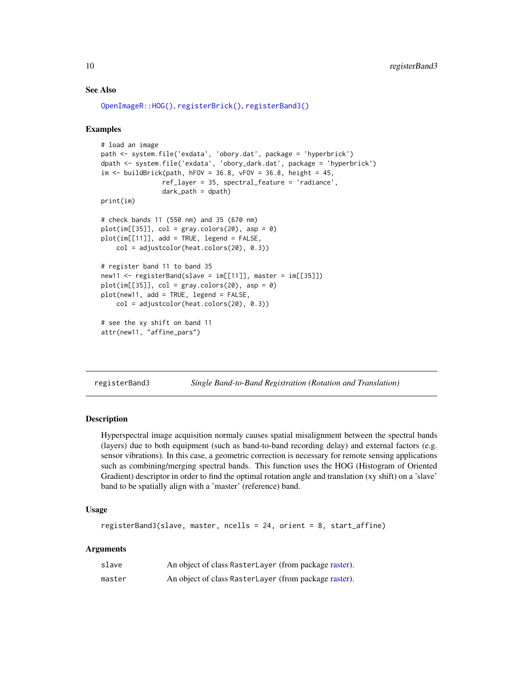## See Also

```
OpenImageR::HOG(), registerBrick(), registerBand3()
```
## Examples

```
# load an image
path <- system.file('exdata', 'obory.dat', package = 'hyperbrick')
dpath <- system.file('exdata', 'obory_dark.dat', package = 'hyperbrick')
im < - buildBrick(path, hFOV = 36.8, vFOV = 36.8, height = 45,
                ref_layer = 35, spectral_feature = 'radiance',
                dark<sub>-path</sub> = dpath)
print(im)
# check bands 11 (550 nm) and 35 (670 nm)
plot(im[[35]], col = gray-color(20), asp = 0)plot(im[[11]], add = TRUE, legend = FALSE,
    col = adjustcolor(heat.colors(20), 0.3))
# register band 11 to band 35
new11 <- registerBand(slave = im[[11]], master = im[[35]])
plot(im[[35]], col = gray-color(20), asp = 0)plot(new11, add = TRUE, legend = FALSE,
    col = adjustcolor(heat.colors(20), 0.3))
# see the xy shift on band 11
attr(new11, "affine_pars")
```
<span id="page-9-1"></span>

registerBand3 *Single Band-to-Band Registration (Rotation and Translation)*

## **Description**

Hyperspectral image acquisition normaly causes spatial misalignment between the spectral bands (layers) due to both equipment (such as band-to-band recording delay) and external factors (e.g. sensor vibrations). In this case, a geometric correction is necessary for remote sensing applications such as combining/merging spectral bands. This function uses the HOG (Histogram of Oriented Gradient) descriptor in order to find the optimal rotation angle and translation (xy shift) on a 'slave' band to be spatially align with a 'master' (reference) band.

#### Usage

```
registerBand3(slave, master, ncells = 24, orient = 8, start_affine)
```
## Arguments

| slave  | An object of class RasterLayer (from package raster). |
|--------|-------------------------------------------------------|
| master | An object of class RasterLayer (from package raster). |

<span id="page-9-0"></span>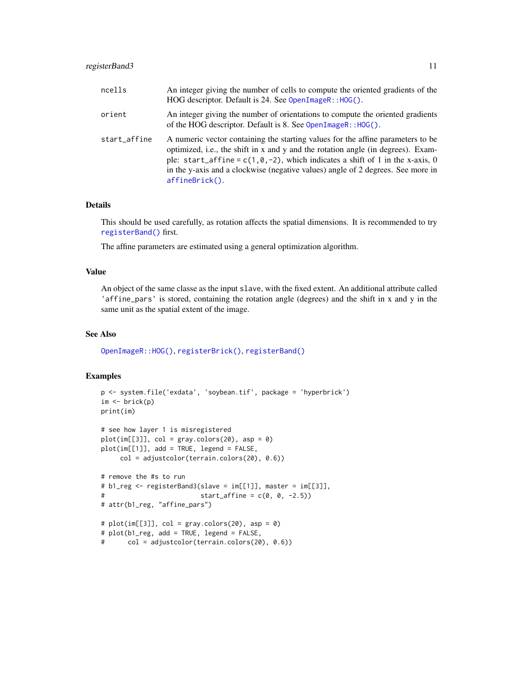## <span id="page-10-0"></span>registerBand3 11

| ncells       | An integer giving the number of cells to compute the oriented gradients of the<br>HOG descriptor. Default is 24. See OpenImageR:: HOG().                                                                                                                                                                                                                         |
|--------------|------------------------------------------------------------------------------------------------------------------------------------------------------------------------------------------------------------------------------------------------------------------------------------------------------------------------------------------------------------------|
| orient       | An integer giving the number of orientations to compute the oriented gradients<br>of the HOG descriptor. Default is 8. See $OpenImageR$ : : HOG().                                                                                                                                                                                                               |
| start_affine | A numeric vector containing the starting values for the affine parameters to be<br>optimized, i.e., the shift in x and y and the rotation angle (in degrees). Exam-<br>ple: start_affine = $c(1, 0, -2)$ , which indicates a shift of 1 in the x-axis, 0<br>in the y-axis and a clockwise (negative values) angle of 2 degrees. See more in<br>$affineBrick()$ . |

## Details

This should be used carefully, as rotation affects the spatial dimensions. It is recommended to try [registerBand\(\)](#page-8-1) first.

The affine parameters are estimated using a general optimization algorithm.

## Value

An object of the same classe as the input slave, with the fixed extent. An additional attribute called 'affine\_pars' is stored, containing the rotation angle (degrees) and the shift in x and y in the same unit as the spatial extent of the image.

## See Also

[OpenImageR::HOG\(\)](#page-0-0), [registerBrick\(\)](#page-11-1), [registerBand\(\)](#page-8-1)

```
p <- system.file('exdata', 'soybean.tif', package = 'hyperbrick')
im \leftarrow brick(p)print(im)
# see how layer 1 is misregistered
plot(im[[3]], col = gray-color(20), asp = 0)plot(im[[1]], add = TRUE, legend = FALSE,col = adjustcolor(terrain.colors(20), 0.6))
# remove the #s to run
# b1_reg <- registerBand3(slave = im[[1]], master = im[[3]],
# start_affine = c(0, 0, -2.5)# attr(b1_reg, "affine_pars")
# plot(im[[3]], col = gray-color(20), asp = 0)# plot(b1_reg, add = TRUE, legend = FALSE,
# col = adjustcolor(terrain.colors(20), 0.6))
```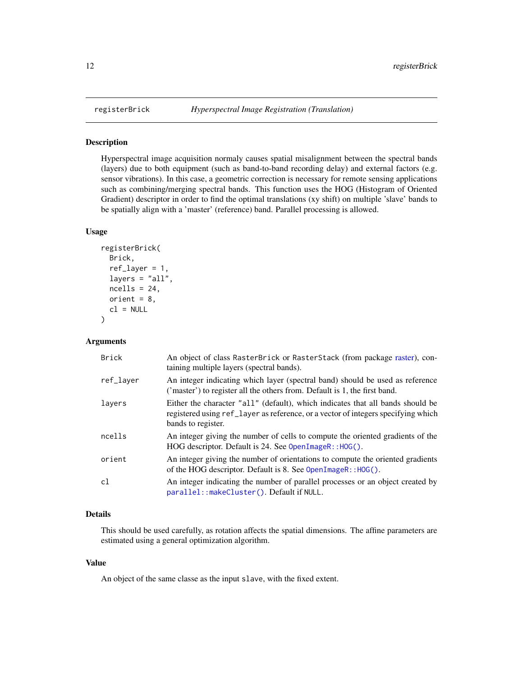<span id="page-11-1"></span><span id="page-11-0"></span>

#### Description

Hyperspectral image acquisition normaly causes spatial misalignment between the spectral bands (layers) due to both equipment (such as band-to-band recording delay) and external factors (e.g. sensor vibrations). In this case, a geometric correction is necessary for remote sensing applications such as combining/merging spectral bands. This function uses the HOG (Histogram of Oriented Gradient) descriptor in order to find the optimal translations (xy shift) on multiple 'slave' bands to be spatially align with a 'master' (reference) band. Parallel processing is allowed.

#### Usage

```
registerBrick(
  Brick,
  ref\_layer = 1,
  layers = "all",
  ncells = 24,
  orient = 8,
  cl = NULL\mathcal{L}
```
## Arguments

| <b>Brick</b> | An object of class RasterBrick or RasterStack (from package raster), con-<br>taining multiple layers (spectral bands).                                                                    |
|--------------|-------------------------------------------------------------------------------------------------------------------------------------------------------------------------------------------|
| ref_laver    | An integer indicating which layer (spectral band) should be used as reference<br>('master') to register all the others from. Default is 1, the first band.                                |
| layers       | Either the character "all" (default), which indicates that all bands should be<br>registered using ref_layer as reference, or a vector of integers specifying which<br>bands to register. |
| ncells       | An integer giving the number of cells to compute the oriented gradients of the<br>HOG descriptor. Default is 24. See OpenImageR:: HOG().                                                  |
| orient       | An integer giving the number of orientations to compute the oriented gradients<br>of the HOG descriptor. Default is 8. See $OpenImageR$ : : HOG().                                        |
| cl           | An integer indicating the number of parallel processes or an object created by<br>parallel::makeCluster(). Default if NULL.                                                               |

## Details

This should be used carefully, as rotation affects the spatial dimensions. The affine parameters are estimated using a general optimization algorithm.

#### Value

An object of the same classe as the input slave, with the fixed extent.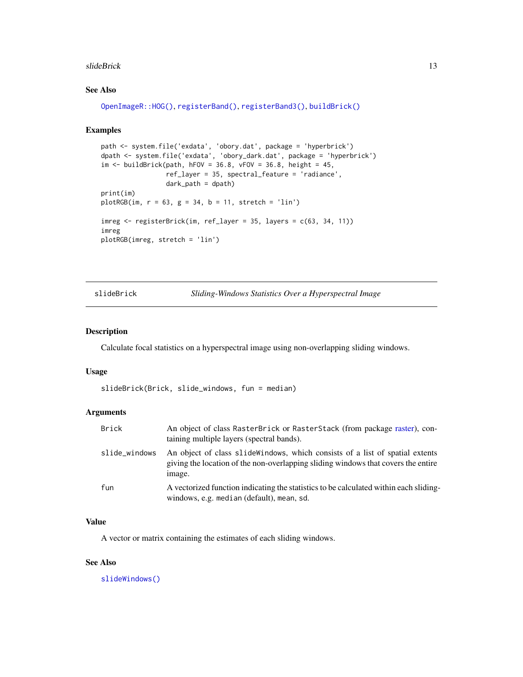#### <span id="page-12-0"></span>slideBrick 13

## See Also

```
OpenImageR::HOG(), registerBand(), registerBand3(), buildBrick()
```
## Examples

```
path <- system.file('exdata', 'obory.dat', package = 'hyperbrick')
dpath <- system.file('exdata', 'obory_dark.dat', package = 'hyperbrick')
im \le buildBrick(path, hFOV = 36.8, vFOV = 36.8, height = 45,
                 ref_layer = 35, spectral_feature = 'radiance',
                 dark_path = dpath)
print(im)
plotRGB(im, r = 63, g = 34, b = 11, stretch = 'lin')
imreg <- registerBrick(im, ref_layer = 35, layers = c(63, 34, 11))
imreg
plotRGB(imreg, stretch = 'lin')
```
<span id="page-12-1"></span>slideBrick *Sliding-Windows Statistics Over a Hyperspectral Image*

#### Description

Calculate focal statistics on a hyperspectral image using non-overlapping sliding windows.

## Usage

```
slideBrick(Brick, slide_windows, fun = median)
```
## Arguments

| Brick         | An object of class RasterBrick or RasterStack (from package raster), con-<br>taining multiple layers (spectral bands).                                                       |
|---------------|------------------------------------------------------------------------------------------------------------------------------------------------------------------------------|
| slide_windows | An object of class slide windows, which consists of a list of spatial extents<br>giving the location of the non-overlapping sliding windows that covers the entire<br>image. |
| fun           | A vectorized function indicating the statistics to be calculated within each sliding-<br>windows, e.g. median (default), mean, sd.                                           |

## Value

A vector or matrix containing the estimates of each sliding windows.

## See Also

[slideWindows\(\)](#page-13-1)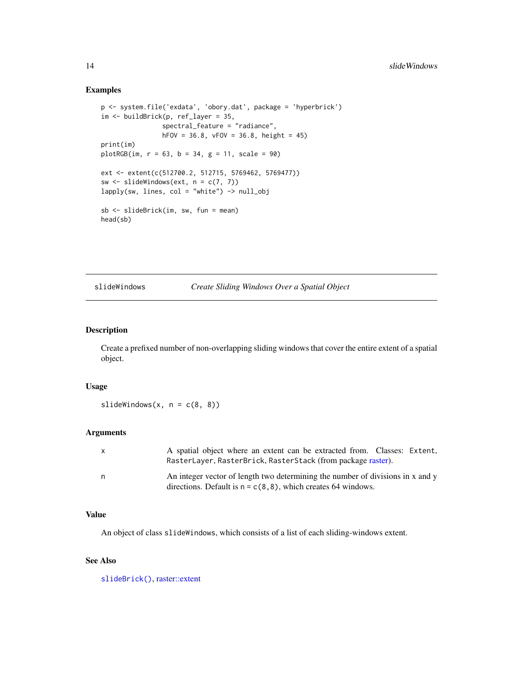## Examples

```
p <- system.file('exdata', 'obory.dat', package = 'hyperbrick')
im <- buildBrick(p, ref_layer = 35,
                spectral_feature = "radiance",
                hFOV = 36.8, vFOV = 36.8, height = 45)
print(im)
plotRGB(im, r = 63, b = 34, g = 11, scale = 90)ext <- extent(c(512700.2, 512715, 5769462, 5769477))
sw \le slideWindows(ext, n = c(7, 7))
lapply(sw, lines, col = "white") -> null_obj
sb <- slideBrick(im, sw, fun = mean)
head(sb)
```
## <span id="page-13-1"></span>slideWindows *Create Sliding Windows Over a Spatial Object*

## Description

Create a prefixed number of non-overlapping sliding windows that cover the entire extent of a spatial object.

## Usage

slideWindows(x,  $n = c(8, 8)$ )

## Arguments

| X | A spatial object where an extent can be extracted from. Classes: Extent,       |
|---|--------------------------------------------------------------------------------|
|   | RasterLayer, RasterBrick, RasterStack (from package raster).                   |
| n | An integer vector of length two determining the number of divisions in x and y |
|   | directions. Default is $n = c(8, 8)$ , which creates 64 windows.               |

#### Value

An object of class slideWindows, which consists of a list of each sliding-windows extent.

## See Also

[slideBrick\(\)](#page-12-1), [raster::extent](#page-0-0)

<span id="page-13-0"></span>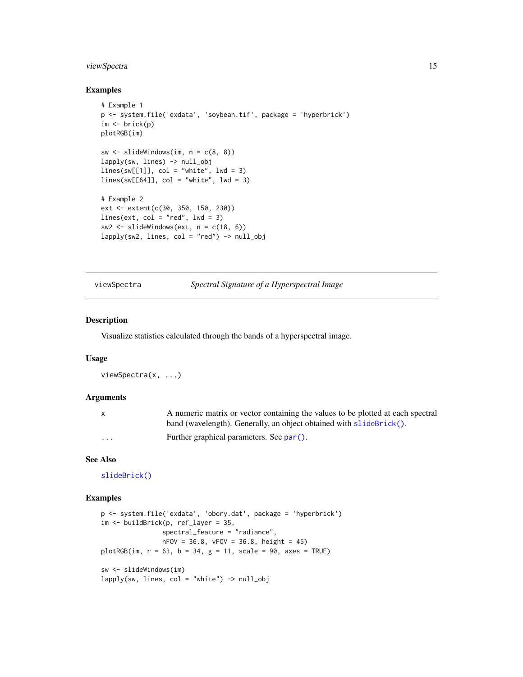## <span id="page-14-0"></span>viewSpectra 15

## Examples

```
# Example 1
p <- system.file('exdata', 'soybean.tif', package = 'hyperbrick')
im \leftarrow brick(p)plotRGB(im)
sw \le slideWindows(im, n = c(8, 8))
lapply(sw, lines) -> null_obj
lines(sw[[1]], col = "white", lw = 3)lines(sw[[64]], col = "white", lw = 3)# Example 2
ext <- extent(c(30, 350, 150, 230))
lines(ext, col = "red", lwd = 3)sw2 \leq slideWindows(ext, n = c(18, 6))
lapply(sw2, lines, col = "red") \rightarrow null\_obj
```
## viewSpectra *Spectral Signature of a Hyperspectral Image*

#### Description

Visualize statistics calculated through the bands of a hyperspectral image.

#### Usage

viewSpectra(x, ...)

#### Arguments

| X                       | A numeric matrix or vector containing the values to be plotted at each spectral |
|-------------------------|---------------------------------------------------------------------------------|
|                         | band (wavelength). Generally, an object obtained with slideBrick().             |
| $\cdot$ $\cdot$ $\cdot$ | Further graphical parameters. See par().                                        |

## See Also

[slideBrick\(\)](#page-12-1)

```
p <- system.file('exdata', 'obory.dat', package = 'hyperbrick')
im <- buildBrick(p, ref_layer = 35,
               spectral_feature = "radiance",
               hFOV = 36.8, vFOV = 36.8, height = 45)
plotRGB(im, r = 63, b = 34, g = 11, scale = 90, axes = TRUE)sw <- slideWindows(im)
lapply(sw, lines, col = "white") -> null_obj
```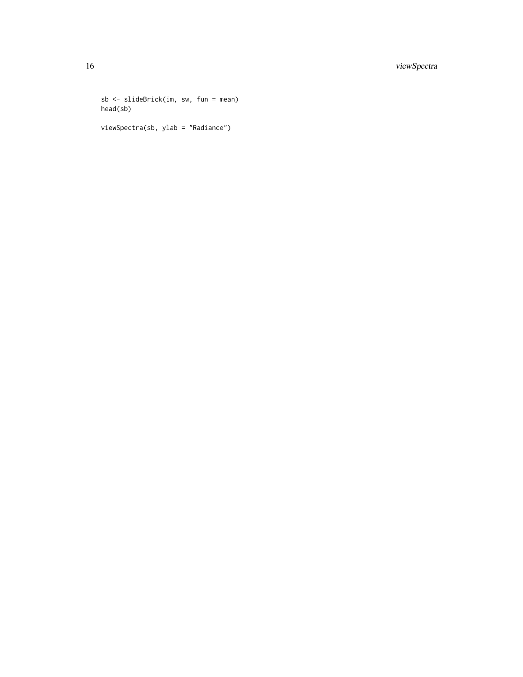sb <- slideBrick(im, sw, fun = mean) head(sb) viewSpectra(sb, ylab = "Radiance")